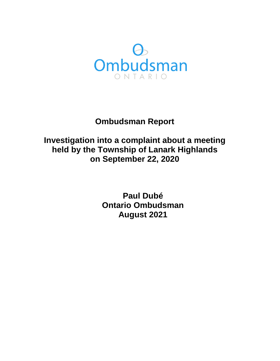

# **Ombudsman Report**

# **Investigation into a complaint about a meeting held by the Township of Lanark Highlands on September 22, 2020**

**Paul Dubé Ontario Ombudsman August 2021**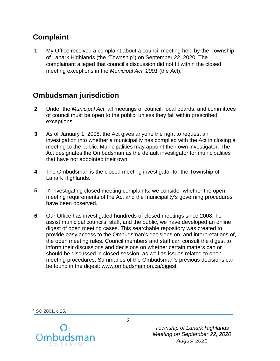### **Complaint**

**1** My Office received a complaint about a council meeting held by the Township of Lanark Highlands (the "Township") on September 22, 2020. The complainant alleged that council's discussion did not fit within the closed meeting exceptions in the *Municipal Act, 2001* (the Act).[1](#page-1-0)

## **Ombudsman jurisdiction**

- **2** Under the *Municipal Act,* all meetings of council, local boards, and committees of council must be open to the public, unless they fall within prescribed exceptions.
- **3** As of January 1, 2008, the Act gives anyone the right to request an investigation into whether a municipality has complied with the Act in closing a meeting to the public. Municipalities may appoint their own investigator. The Act designates the Ombudsman as the default investigator for municipalities that have not appointed their own.
- **4** The Ombudsman is the closed meeting investigator for the Township of Lanark Highlands.
- **5** In investigating closed meeting complaints, we consider whether the open meeting requirements of the Act and the municipality's governing procedures have been observed.
- **6** Our Office has investigated hundreds of closed meetings since 2008. To assist municipal councils, staff, and the public, we have developed an online digest of open meeting cases. This searchable repository was created to provide easy access to the Ombudsman's decisions on, and interpretations of, the open meeting rules. Council members and staff can consult the digest to inform their discussions and decisions on whether certain matters can or should be discussed in closed session, as well as issues related to open meeting procedures. Summaries of the Ombudsman's previous decisions can be found in the digest: [www.ombudsman.on.ca/digest.](http://www.ombudsman.on.ca/digest)

<span id="page-1-0"></span><sup>1</sup> SO 2001, c 25.

 $\overline{a}$ 



*Township of Lanark Highlands Meeting on September 22, 2020 August 2021*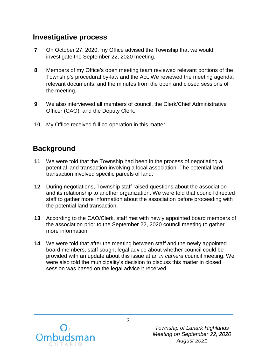#### **Investigative process**

- **7** On October 27, 2020, my Office advised the Township that we would investigate the September 22, 2020 meeting.
- **8** Members of my Office's open meeting team reviewed relevant portions of the Township's procedural by-law and the Act. We reviewed the meeting agenda, relevant documents, and the minutes from the open and closed sessions of the meeting.
- **9** We also interviewed all members of council, the Clerk/Chief Administrative Officer (CAO), and the Deputy Clerk.
- **10** My Office received full co-operation in this matter.

### **Background**

- **11** We were told that the Township had been in the process of negotiating a potential land transaction involving a local association. The potential land transaction involved specific parcels of land.
- **12** During negotiations, Township staff raised questions about the association and its relationship to another organization. We were told that council directed staff to gather more information about the association before proceeding with the potential land transaction.
- **13** According to the CAO/Clerk, staff met with newly appointed board members of the association prior to the September 22, 2020 council meeting to gather more information.
- **14** We were told that after the meeting between staff and the newly appointed board members, staff sought legal advice about whether council could be provided with an update about this issue at an *in camera* council meeting. We were also told the municipality's decision to discuss this matter in closed session was based on the legal advice it received.



*Township of Lanark Highlands Meeting on September 22, 2020 August 2021*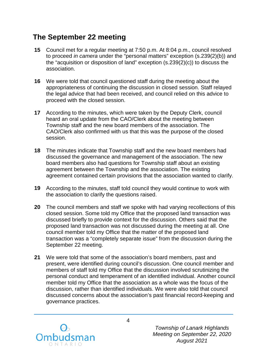### **The September 22 meeting**

- **15** Council met for a regular meeting at 7:50 p.m. At 8:04 p.m., council resolved to proceed *in camera* under the "personal matters" exception (s.239(2)(b)) and the "acquisition or disposition of land" exception (s.239(2)(c)) to discuss the association.
- **16** We were told that council questioned staff during the meeting about the appropriateness of continuing the discussion in closed session. Staff relayed the legal advice that had been received, and council relied on this advice to proceed with the closed session.
- **17** According to the minutes, which were taken by the Deputy Clerk, council heard an oral update from the CAO/Clerk about the meeting between Township staff and the new board members of the association. The CAO/Clerk also confirmed with us that this was the purpose of the closed session.
- **18** The minutes indicate that Township staff and the new board members had discussed the governance and management of the association. The new board members also had questions for Township staff about an existing agreement between the Township and the association. The existing agreement contained certain provisions that the association wanted to clarify.
- **19** According to the minutes, staff told council they would continue to work with the association to clarify the questions raised.
- **20** The council members and staff we spoke with had varying recollections of this closed session. Some told my Office that the proposed land transaction was discussed briefly to provide context for the discussion. Others said that the proposed land transaction was not discussed during the meeting at all. One council member told my Office that the matter of the proposed land transaction was a "completely separate issue" from the discussion during the September 22 meeting.
- **21** We were told that some of the association's board members, past and present, were identified during council's discussion. One council member and members of staff told my Office that the discussion involved scrutinizing the personal conduct and temperament of an identified individual. Another council member told my Office that the association as a whole was the focus of the discussion, rather than identified individuals. We were also told that council discussed concerns about the association's past financial record-keeping and governance practices.



*Township of Lanark Highlands Meeting on September 22, 2020 August 2021*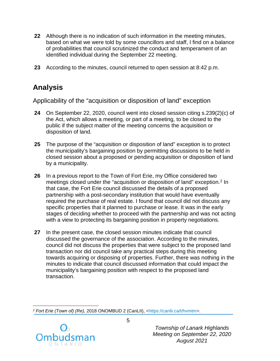- **22** Although there is no indication of such information in the meeting minutes, based on what we were told by some councillors and staff, I find on a balance of probabilities that council scrutinized the conduct and temperament of an identified individual during the September 22 meeting.
- **23** According to the minutes, council returned to open session at 8:42 p.m.

## **Analysis**

Applicability of the "acquisition or disposition of land" exception

- **24** On September 22, 2020, council went into closed session citing s.239(2)(c) of the Act, which allows a meeting, or part of a meeting, to be closed to the public if the subject matter of the meeting concerns the acquisition or disposition of land.
- **25** The purpose of the "acquisition or disposition of land" exception is to protect the municipality's bargaining position by permitting discussions to be held in closed session about a proposed or pending acquisition or disposition of land by a municipality.
- **26** In a previous report to the Town of Fort Erie, my Office considered two meetings closed under the "acquisition or disposition of land" exception. [2](#page-4-0) In that case, the Fort Erie council discussed the details of a proposed partnership with a post-secondary institution that would have eventually required the purchase of real estate. I found that council did not discuss any specific properties that it planned to purchase or lease. It was in the early stages of deciding whether to proceed with the partnership and was not acting with a view to protecting its bargaining position in property negotiations.
- **27** In the present case, the closed session minutes indicate that council discussed the governance of the association. According to the minutes, council did not discuss the properties that were subject to the proposed land transaction nor did council take any practical steps during this meeting towards acquiring or disposing of properties. Further, there was nothing in the minutes to indicate that council discussed information that could impact the municipality's bargaining position with respect to the proposed land transaction.

<span id="page-4-0"></span> $\overline{a}$ *<sup>2</sup> Fort Erie (Town of) (Re)*, 2018 ONOMBUD 2 (CanLII), [<https://canlii.ca/t/hvmtm>](https://canlii.ca/t/hvmtm).



*Township of Lanark Highlands Meeting on September 22, 2020 August 2021*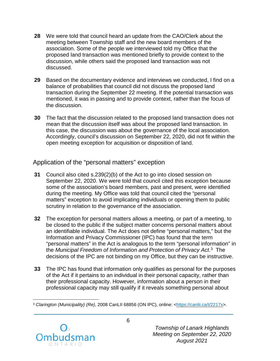- **28** We were told that council heard an update from the CAO/Clerk about the meeting between Township staff and the new board members of the association. Some of the people we interviewed told my Office that the proposed land transaction was mentioned briefly to provide context to the discussion, while others said the proposed land transaction was not discussed.
- **29** Based on the documentary evidence and interviews we conducted, I find on a balance of probabilities that council did not discuss the proposed land transaction during the September 22 meeting. If the potential transaction was mentioned, it was in passing and to provide context, rather than the focus of the discussion.
- **30** The fact that the discussion related to the proposed land transaction does not mean that the discussion itself was about the proposed land transaction. In this case, the discussion was about the governance of the local association. Accordingly, council's discussion on September 22, 2020, did not fit within the open meeting exception for acquisition or disposition of land.

#### Application of the "personal matters" exception

- **31** Council also cited s.239(2)(b) of the Act to go into closed session on September 22, 2020. We were told that council cited this exception because some of the association's board members, past and present, were identified during the meeting. My Office was told that council cited the "personal matters" exception to avoid implicating individuals or opening them to public scrutiny in relation to the governance of the association.
- **32** The exception for personal matters allows a meeting, or part of a meeting, to be closed to the public if the subject matter concerns personal matters about an identifiable individual. The Act does not define "personal matters," but the Information and Privacy Commissioner (IPC) has found that the term "personal matters" in the Act is analogous to the term "personal information" in the *Municipal Freedom of Information and Protection of Privacy Act*. [3](#page-5-0) The decisions of the IPC are not binding on my Office, but they can be instructive.
- **33** The IPC has found that information only qualifies as personal for the purposes of the Act if it pertains to an individual in their personal capacity, rather than their professional capacity. However, information about a person in their professional capacity may still qualify if it reveals something personal about

<span id="page-5-0"></span> $\overline{a}$ <sup>3</sup> *Clarington (Municipality) (Re)*, 2008 CanLII 68856 (ON IPC), online: [<https://canlii.ca/t/2217x>](https://canlii.ca/t/2217x).



*Township of Lanark Highlands Meeting on September 22, 2020 August 2021*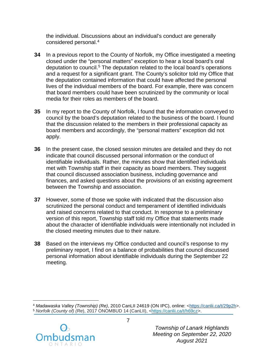the individual. Discussions about an individual's conduct are generally considered personal.[4](#page-6-0)

- **34** In a previous report to the County of Norfolk, my Office investigated a meeting closed under the "personal matters" exception to hear a local board's oral deputation to council.[5](#page-6-1) The deputation related to the local board's operations and a request for a significant grant. The County's solicitor told my Office that the deputation contained information that could have affected the personal lives of the individual members of the board. For example, there was concern that board members could have been scrutinized by the community or local media for their roles as members of the board.
- **35** In my report to the County of Norfolk, I found that the information conveyed to council by the board's deputation related to the business of the board. I found that the discussion related to the members in their professional capacity as board members and accordingly, the "personal matters" exception did not apply.
- **36** In the present case, the closed session minutes are detailed and they do not indicate that council discussed personal information or the conduct of identifiable individuals. Rather, the minutes show that identified individuals met with Township staff in their capacity as board members. They suggest that council discussed association business, including governance and finances, and asked questions about the provisions of an existing agreement between the Township and association.
- **37** However, some of those we spoke with indicated that the discussion also scrutinized the personal conduct and temperament of identified individuals and raised concerns related to that conduct. In response to a preliminary version of this report, Township staff told my Office that statements made about the character of identifiable individuals were intentionally not included in the closed meeting minutes due to their nature.
- **38** Based on the interviews my Office conducted and council's response to my preliminary report, I find on a balance of probabilities that council discussed personal information about identifiable individuals during the September 22 meeting.

<span id="page-6-1"></span><span id="page-6-0"></span> $\overline{a}$ <sup>4</sup> *Madawaska Valley (Township) (Re)*, 2010 CanLII 24619 (ON IPC), online: [<https://canlii.ca/t/29p2h>](https://canlii.ca/t/29p2h). <sup>5</sup> *Norfolk (County of) (Re*), 2017 ONOMBUD 14 (CanLII), [<https://canlii.ca/t/h69cz>](https://canlii.ca/t/h69cz).



*Township of Lanark Highlands Meeting on September 22, 2020 August 2021*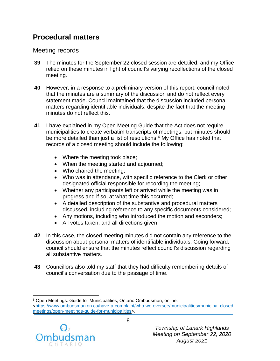### **Procedural matters**

Meeting records

- **39** The minutes for the September 22 closed session are detailed, and my Office relied on these minutes in light of council's varying recollections of the closed meeting.
- **40** However, in a response to a preliminary version of this report, council noted that the minutes are a summary of the discussion and do not reflect every statement made. Council maintained that the discussion included personal matters regarding identifiable individuals, despite the fact that the meeting minutes do not reflect this.
- **41** I have explained in my Open Meeting Guide that the Act does not require municipalities to create verbatim transcripts of meetings, but minutes should be more detailed than just a list of resolutions. [6](#page-7-0) My Office has noted that records of a closed meeting should include the following:
	- Where the meeting took place;
	- When the meeting started and adjourned;
	- Who chaired the meeting;
	- Who was in attendance, with specific reference to the Clerk or other designated official responsible for recording the meeting;
	- Whether any participants left or arrived while the meeting was in progress and if so, at what time this occurred;
	- A detailed description of the substantive and procedural matters discussed, including reference to any specific documents considered;
	- Any motions, including who introduced the motion and seconders;
	- All votes taken, and all directions given.
- **42** In this case, the closed meeting minutes did not contain any reference to the discussion about personal matters of identifiable individuals. Going forward, council should ensure that the minutes reflect council's discussion regarding all substantive matters.
- **43** Councillors also told my staff that they had difficulty remembering details of council's conversation due to the passage of time.

<span id="page-7-0"></span> $\overline{a}$ <sup>6</sup> Open Meetings: Guide for Municipalities, Ontario Ombudsman, online: [<https://www.ombudsman.on.ca/have-a-complaint/who-we-oversee/municipalities/municipal-closed](https://www.ombudsman.on.ca/have-a-complaint/who-we-oversee/municipalities/municipal-closed-meetings/open-meetings-guide-for-municipalities)[meetings/open-meetings-guide-for-municipalities>](https://www.ombudsman.on.ca/have-a-complaint/who-we-oversee/municipalities/municipal-closed-meetings/open-meetings-guide-for-municipalities).



*Township of Lanark Highlands Meeting on September 22, 2020 August 2021*